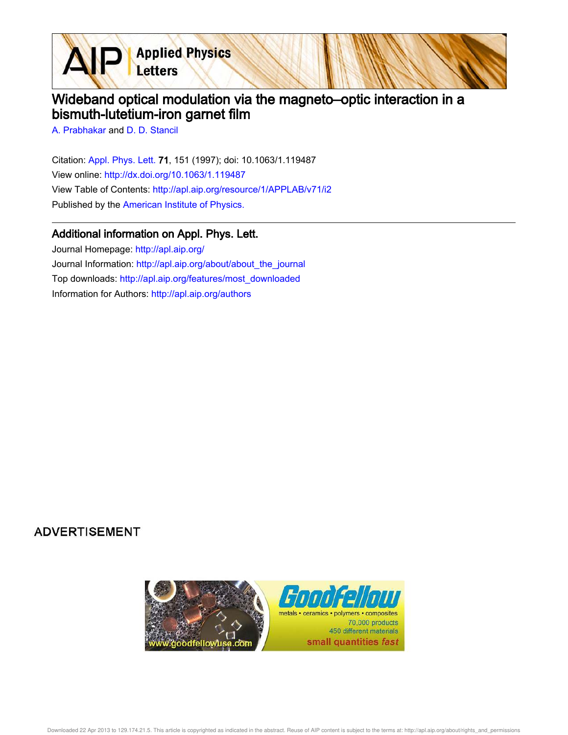**Applied Physics** Letters

## Wideband optical modulation via the magneto–optic interaction in a bismuth-lutetium-iron garnet film

A. Prabhakar and D. D. Stancil

 $\blacktriangle$ 

Citation: Appl. Phys. Lett. 71, 151 (1997); doi: 10.1063/1.119487 View online: http://dx.doi.org/10.1063/1.119487 View Table of Contents: http://apl.aip.org/resource/1/APPLAB/v71/i2 Published by the American Institute of Physics.

## Additional information on Appl. Phys. Lett.

Journal Homepage: http://apl.aip.org/ Journal Information: http://apl.aip.org/about/about\_the\_journal Top downloads: http://apl.aip.org/features/most\_downloaded Information for Authors: http://apl.aip.org/authors

## **ADVERTISEMENT**



Downloaded 22 Apr 2013 to 129.174.21.5. This article is copyrighted as indicated in the abstract. Reuse of AIP content is subject to the terms at: http://apl.aip.org/about/rights\_and\_permissions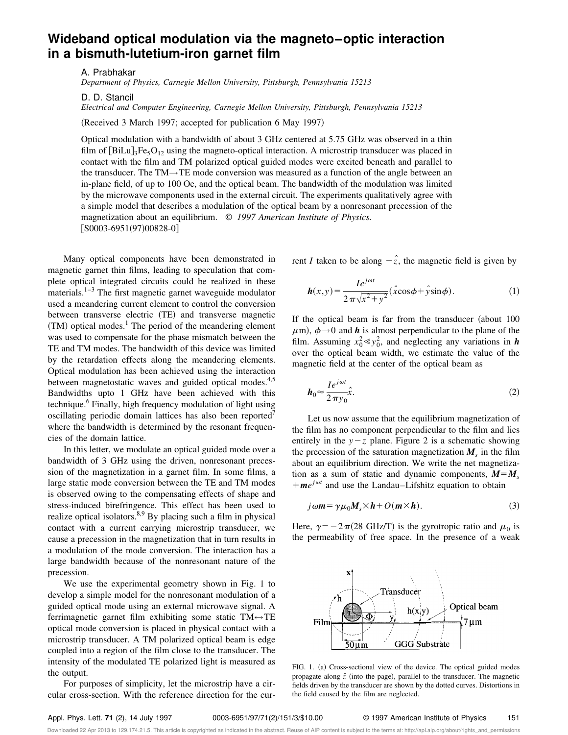## **Wideband optical modulation via the magneto–optic interaction in a bismuth-lutetium-iron garnet film**

A. Prabhakar

*Department of Physics, Carnegie Mellon University, Pittsburgh, Pennsylvania 15213*

D. D. Stancil

*Electrical and Computer Engineering, Carnegie Mellon University, Pittsburgh, Pennsylvania 15213*

(Received 3 March 1997; accepted for publication 6 May 1997)

Optical modulation with a bandwidth of about 3 GHz centered at 5.75 GHz was observed in a thin film of  $[BiLu]_3Fe_5O_{12}$  using the magneto-optical interaction. A microstrip transducer was placed in contact with the film and TM polarized optical guided modes were excited beneath and parallel to the transducer. The TM→TE mode conversion was measured as a function of the angle between an in-plane field, of up to 100 Oe, and the optical beam. The bandwidth of the modulation was limited by the microwave components used in the external circuit. The experiments qualitatively agree with a simple model that describes a modulation of the optical beam by a nonresonant precession of the magnetization about an equilibrium. © *1997 American Institute of Physics.*  $[50003-6951(97)00828-0]$ 

Many optical components have been demonstrated in magnetic garnet thin films, leading to speculation that complete optical integrated circuits could be realized in these materials. $1-3$  The first magnetic garnet waveguide modulator used a meandering current element to control the conversion between transverse electric (TE) and transverse magnetic  $(TM)$  optical modes.<sup>1</sup> The period of the meandering element was used to compensate for the phase mismatch between the TE and TM modes. The bandwidth of this device was limited by the retardation effects along the meandering elements. Optical modulation has been achieved using the interaction between magnetostatic waves and guided optical modes.<sup>4,5</sup> Bandwidths upto 1 GHz have been achieved with this technique.<sup>6</sup> Finally, high frequency modulation of light using oscillating periodic domain lattices has also been reported<sup>7</sup> where the bandwidth is determined by the resonant frequencies of the domain lattice.

In this letter, we modulate an optical guided mode over a bandwidth of 3 GHz using the driven, nonresonant precession of the magnetization in a garnet film. In some films, a large static mode conversion between the TE and TM modes is observed owing to the compensating effects of shape and stress-induced birefringence. This effect has been used to realize optical isolators. $8,9$  By placing such a film in physical contact with a current carrying microstrip transducer, we cause a precession in the magnetization that in turn results in a modulation of the mode conversion. The interaction has a large bandwidth because of the nonresonant nature of the precession.

We use the experimental geometry shown in Fig. 1 to develop a simple model for the nonresonant modulation of a guided optical mode using an external microwave signal. A ferrimagnetic garnet film exhibiting some static  $TM \leftrightarrow TE$ optical mode conversion is placed in physical contact with a microstrip transducer. A TM polarized optical beam is edge coupled into a region of the film close to the transducer. The intensity of the modulated TE polarized light is measured as the output.

For purposes of simplicity, let the microstrip have a circular cross-section. With the reference direction for the current *I* taken to be along  $-\hat{z}$ , the magnetic field is given by

$$
\mathbf{h}(x,y) = \frac{I e^{j\omega t}}{2\pi\sqrt{x^2 + y^2}} (\hat{x}\cos\phi + \hat{y}\sin\phi).
$$
 (1)

If the optical beam is far from the transducer (about  $100$  $\mu$ m),  $\phi \rightarrow 0$  and **h** is almost perpendicular to the plane of the film. Assuming  $x_0^2 \ll y_0^2$ , and neglecting any variations in *h* over the optical beam width, we estimate the value of the magnetic field at the center of the optical beam as

$$
h_0 \approx \frac{I e^{j\omega t}}{2 \pi y_0} \hat{x}.\tag{2}
$$

Let us now assume that the equilibrium magnetization of the film has no component perpendicular to the film and lies entirely in the  $y-z$  plane. Figure 2 is a schematic showing the precession of the saturation magnetization  $M_s$  in the film about an equilibrium direction. We write the net magnetization as a sum of static and dynamic components,  $M = M_s$  $+m e^{j\omega t}$  and use the Landau–Lifshitz equation to obtain

$$
j\omega m = \gamma \mu_0 M_s \times h + O(m \times h). \tag{3}
$$

Here,  $\gamma = -2\pi(28 \text{ GHz/T})$  is the gyrotropic ratio and  $\mu_0$  is the permeability of free space. In the presence of a weak



FIG. 1. (a) Cross-sectional view of the device. The optical guided modes propagate along  $\hat{z}$  (into the page), parallel to the transducer. The magnetic fields driven by the transducer are shown by the dotted curves. Distortions in the field caused by the film are neglected.

Downloaded 22 Apr 2013 to 129.174.21.5. This article is copyrighted as indicated in the abstract. Reuse of AIP content is subject to the terms at: http://apl.aip.org/about/rights\_and\_permissions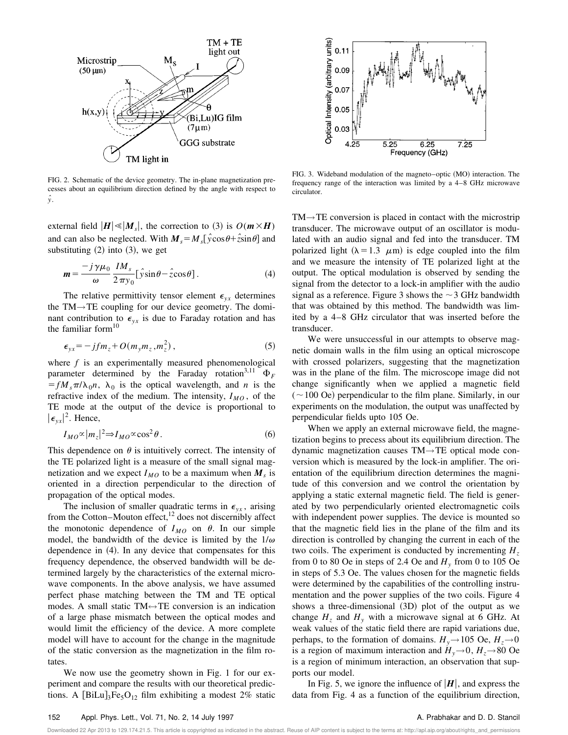

FIG. 2. Schematic of the device geometry. The in-plane magnetization precesses about an equilibrium direction defined by the angle with respect to *yˆ*.

external field  $|H| \ll |M_s|$ , the correction to (3) is  $O(m \times H)$ and can also be neglected. With  $M_s = M_s[\hat{y}\cos\theta + \hat{z}\sin\theta]$  and substituting  $(2)$  into  $(3)$ , we get

$$
\mathbf{m} = \frac{-j\,\gamma\mu_0}{\omega} \frac{IM_s}{2\,\pi y_0} [\hat{y}\sin\theta - \hat{z}\cos\theta]. \tag{4}
$$

The relative permittivity tensor element  $\epsilon_{yx}$  determines the TM→TE coupling for our device geometry. The dominant contribution to  $\epsilon_{vx}$  is due to Faraday rotation and has the familiar form $10$ 

$$
\epsilon_{yx} = -jfm_z + O(m_ym_z, m_z^2),\tag{5}
$$

where *f* is an experimentally measured phenomenological parameter determined by the Faraday rotation<sup>3,11</sup>  $\Phi_F$  $f = f M_s \pi / \lambda_0 n$ ,  $\lambda_0$  is the optical wavelength, and *n* is the refractive index of the medium. The intensity,  $I_{MO}$ , of the TE mode at the output of the device is proportional to  $|\epsilon_{yx}|^2$ . Hence,

$$
I_{MO} \propto |m_z|^2 \Rightarrow I_{MO} \propto \cos^2 \theta \,. \tag{6}
$$

This dependence on  $\theta$  is intuitively correct. The intensity of the TE polarized light is a measure of the small signal magnetization and we expect  $I_{MO}$  to be a maximum when  $M_s$  is oriented in a direction perpendicular to the direction of propagation of the optical modes.

The inclusion of smaller quadratic terms in  $\epsilon_{vx}$ , arising from the Cotton–Mouton effect,<sup>12</sup> does not discernibly affect the monotonic dependence of  $I_{MO}$  on  $\theta$ . In our simple model, the bandwidth of the device is limited by the  $1/\omega$ dependence in  $(4)$ . In any device that compensates for this frequency dependence, the observed bandwidth will be determined largely by the characteristics of the external microwave components. In the above analysis, we have assumed perfect phase matching between the TM and TE optical modes. A small static  $TM \leftrightarrow TE$  conversion is an indication of a large phase mismatch between the optical modes and would limit the efficiency of the device. A more complete model will have to account for the change in the magnitude of the static conversion as the magnetization in the film rotates.

We now use the geometry shown in Fig. 1 for our experiment and compare the results with our theoretical predictions. A  $[\text{BiLu}]_3\text{Fe}_5\text{O}_{12}$  film exhibiting a modest 2% static



FIG. 3. Wideband modulation of the magneto–optic (MO) interaction. The frequency range of the interaction was limited by a 4–8 GHz microwave circulator.

 $TM \rightarrow TE$  conversion is placed in contact with the microstrip transducer. The microwave output of an oscillator is modulated with an audio signal and fed into the transducer. TM polarized light ( $\lambda = 1.3 \mu$ m) is edge coupled into the film and we measure the intensity of TE polarized light at the output. The optical modulation is observed by sending the signal from the detector to a lock-in amplifier with the audio signal as a reference. Figure 3 shows the  $\sim$  3 GHz bandwidth that was obtained by this method. The bandwidth was limited by a 4–8 GHz circulator that was inserted before the transducer.

We were unsuccessful in our attempts to observe magnetic domain walls in the film using an optical microscope with crossed polarizers, suggesting that the magnetization was in the plane of the film. The microscope image did not change significantly when we applied a magnetic field  $(\sim 100 \text{ Oe})$  perpendicular to the film plane. Similarly, in our experiments on the modulation, the output was unaffected by perpendicular fields upto 105 Oe.

When we apply an external microwave field, the magnetization begins to precess about its equilibrium direction. The dynamic magnetization causes TM→TE optical mode conversion which is measured by the lock-in amplifier. The orientation of the equilibrium direction determines the magnitude of this conversion and we control the orientation by applying a static external magnetic field. The field is generated by two perpendicularly oriented electromagnetic coils with independent power supplies. The device is mounted so that the magnetic field lies in the plane of the film and its direction is controlled by changing the current in each of the two coils. The experiment is conducted by incrementing *H<sup>z</sup>* from 0 to 80 Oe in steps of 2.4 Oe and  $H_y$  from 0 to 105 Oe in steps of 5.3 Oe. The values chosen for the magnetic fields were determined by the capabilities of the controlling instrumentation and the power supplies of the two coils. Figure 4 shows a three-dimensional  $(3D)$  plot of the output as we change  $H_z$  and  $H_y$  with a microwave signal at 6 GHz. At weak values of the static field there are rapid variations due, perhaps, to the formation of domains.  $H_y \rightarrow 105$  Oe,  $H_z \rightarrow 0$ is a region of maximum interaction and  $H_v \rightarrow 0$ ,  $H_z \rightarrow 80$  Oe is a region of minimum interaction, an observation that supports our model.

In Fig. 5, we ignore the influence of  $|H|$ , and express the data from Fig. 4 as a function of the equilibrium direction,

Downloaded 22 Apr 2013 to 129.174.21.5. This article is copyrighted as indicated in the abstract. Reuse of AIP content is subject to the terms at: http://apl.aip.org/about/rights\_and\_permissions